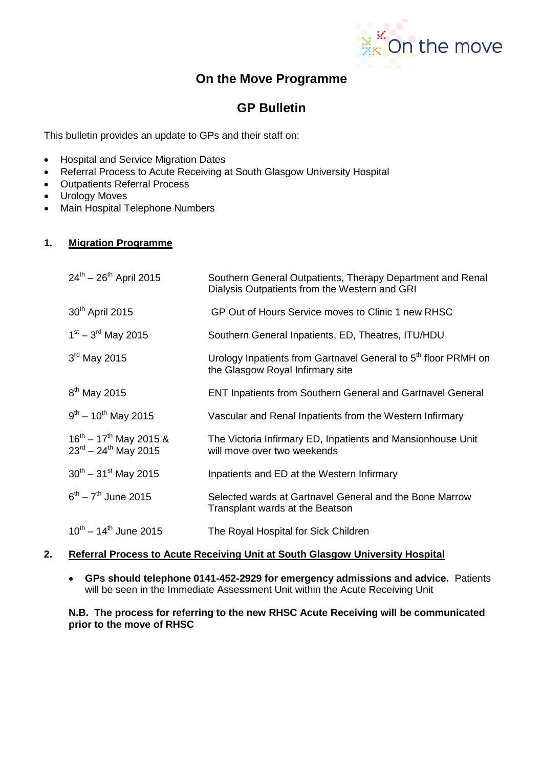

# **On the Move Programme**

# **GP Bulletin**

This bulletin provides an update to GPs and their staff on:

- Hospital and Service Migration Dates
- Referral Process to Acute Receiving at South Glasgow University Hospital
- Outpatients Referral Process
- Urology Moves
- Main Hospital Telephone Numbers

## **1. Migration Programme**

| $24^{th} - 26^{th}$ April 2015                                 | Southern General Outpatients, Therapy Department and Renal<br>Dialysis Outpatients from the Western and GRI    |
|----------------------------------------------------------------|----------------------------------------------------------------------------------------------------------------|
| 30 <sup>th</sup> April 2015                                    | GP Out of Hours Service moves to Clinic 1 new RHSC                                                             |
| $1^{st} - 3^{rd}$ May 2015                                     | Southern General Inpatients, ED, Theatres, ITU/HDU                                                             |
| $3rd$ May 2015                                                 | Urology Inpatients from Gartnavel General to 5 <sup>th</sup> floor PRMH on<br>the Glasgow Royal Infirmary site |
| 8 <sup>th</sup> May 2015                                       | <b>ENT Inpatients from Southern General and Gartnavel General</b>                                              |
| $9^{th} - 10^{th}$ May 2015                                    | Vascular and Renal Inpatients from the Western Infirmary                                                       |
| $16^{th} - 17^{th}$ May 2015 &<br>$23^{rd} - 24^{th}$ May 2015 | The Victoria Infirmary ED, Inpatients and Mansionhouse Unit<br>will move over two weekends                     |
| $30^{th} - 31^{st}$ May 2015                                   | Inpatients and ED at the Western Infirmary                                                                     |
| $6^{th} - 7^{th}$ June 2015                                    | Selected wards at Gartnavel General and the Bone Marrow<br>Transplant wards at the Beatson                     |
| $10^{th} - 14^{th}$ June 2015                                  | The Royal Hospital for Sick Children                                                                           |

#### **2. Referral Process to Acute Receiving Unit at South Glasgow University Hospital**

• **GPs should telephone 0141-452-2929 for emergency admissions and advice.** Patients will be seen in the Immediate Assessment Unit within the Acute Receiving Unit

#### **N.B. The process for referring to the new RHSC Acute Receiving will be communicated prior to the move of RHSC**